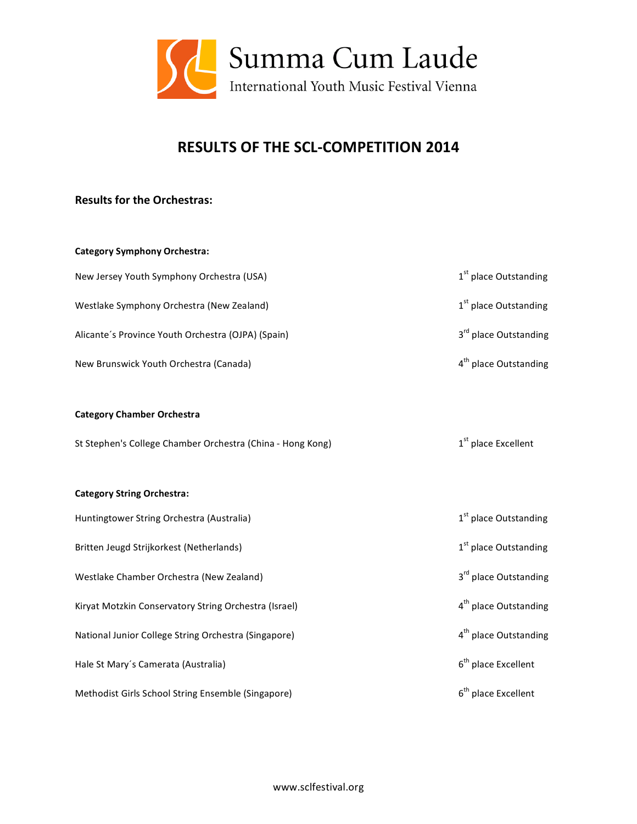

## **RESULTS OF THE SCL‐COMPETITION 2014**

## **Results for the Orchestras:**

| <b>Category Symphony Orchestra:</b>                        |                                   |
|------------------------------------------------------------|-----------------------------------|
| New Jersey Youth Symphony Orchestra (USA)                  | 1 <sup>st</sup> place Outstanding |
| Westlake Symphony Orchestra (New Zealand)                  | 1 <sup>st</sup> place Outstanding |
| Alicante's Province Youth Orchestra (OJPA) (Spain)         | 3 <sup>rd</sup> place Outstanding |
| New Brunswick Youth Orchestra (Canada)                     | 4 <sup>th</sup> place Outstanding |
|                                                            |                                   |
| <b>Category Chamber Orchestra</b>                          |                                   |
| St Stephen's College Chamber Orchestra (China - Hong Kong) | 1 <sup>st</sup> place Excellent   |
|                                                            |                                   |
| <b>Category String Orchestra:</b>                          |                                   |
| Huntingtower String Orchestra (Australia)                  | 1 <sup>st</sup> place Outstanding |
| Britten Jeugd Strijkorkest (Netherlands)                   | 1 <sup>st</sup> place Outstanding |
| Westlake Chamber Orchestra (New Zealand)                   | 3rd place Outstanding             |
| Kiryat Motzkin Conservatory String Orchestra (Israel)      | 4 <sup>th</sup> place Outstanding |
| National Junior College String Orchestra (Singapore)       | 4 <sup>th</sup> place Outstanding |
| Hale St Mary's Camerata (Australia)                        | 6 <sup>th</sup> place Excellent   |
| Methodist Girls School String Ensemble (Singapore)         | 6 <sup>th</sup> place Excellent   |